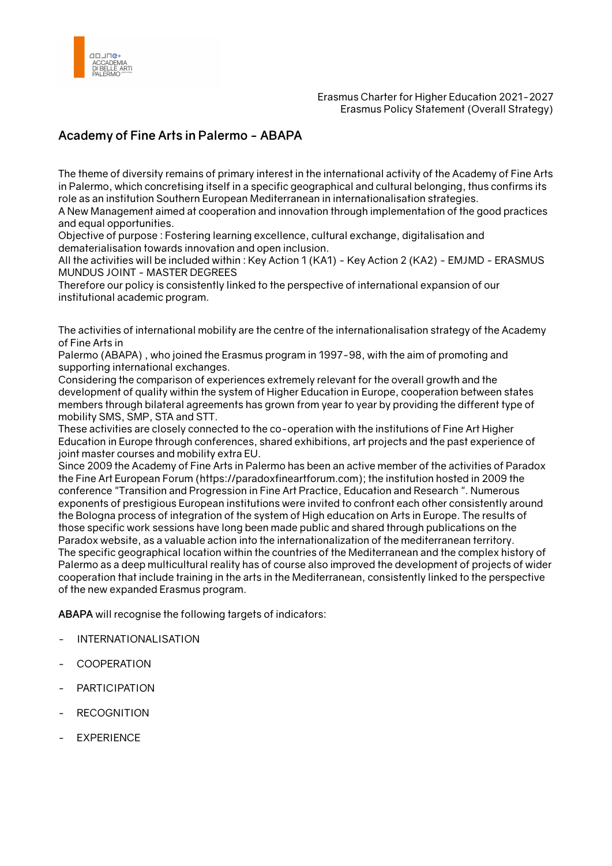

## **Academy of Fine Arts in Palermo - ABAPA**

The theme of diversity remains of primary interest in the international activity of the Academy of Fine Arts in Palermo, which concretising itself in a specific geographical and cultural belonging, thus confirms its role as an institution Southern European Mediterranean in internationalisation strategies.

A New Management aimed at cooperation and innovation through implementation of the good practices and equal opportunities.

Objective of purpose : Fostering learning excellence, cultural exchange, digitalisation and dematerialisation towards innovation and open inclusion.

All the activities will be included within : Key Action 1 (KA1) - Key Action 2 (KA2) - EMJMD - ERASMUS MUNDUS JOINT - MASTER DEGREES

Therefore our policy is consistently linked to the perspective of international expansion of our institutional academic program.

The activities of international mobility are the centre of the internationalisation strategy of the Academy of Fine Arts in

Palermo (ABAPA) , who joined the Erasmus program in 1997-98, with the aim of promoting and supporting international exchanges.

Considering the comparison of experiences extremely relevant for the overall growth and the development of quality within the system of Higher Education in Europe, cooperation between states members through bilateral agreements has grown from year to year by providing the different type of mobility SMS, SMP, STA and STT.

These activities are closely connected to the co-operation with the institutions of Fine Art Higher Education in Europe through conferences, shared exhibitions, art projects and the past experience of joint master courses and mobility extra EU.

Since 2009 the Academy of Fine Arts in Palermo has been an active member of the activities of Paradox the Fine Art European Forum (https://paradoxfineartforum.com); the institution hosted in 2009 the conference "Transition and Progression in Fine Art Practice, Education and Research ". Numerous exponents of prestigious European institutions were invited to confront each other consistently around the Bologna process of integration of the system of High education on Arts in Europe. The results of those specific work sessions have long been made public and shared through publications on the Paradox website, as a valuable action into the internationalization of the mediterranean territory. The specific geographical location within the countries of the Mediterranean and the complex history of Palermo as a deep multicultural reality has of course also improved the development of projects of wider cooperation that include training in the arts in the Mediterranean, consistently linked to the perspective of the new expanded Erasmus program.

**ABAPA** will recognise the following targets of indicators:

- INTERNATIONALISATION
- **COOPERATION**
- **PARTICIPATION**
- **RECOGNITION**
- **EXPERIENCE**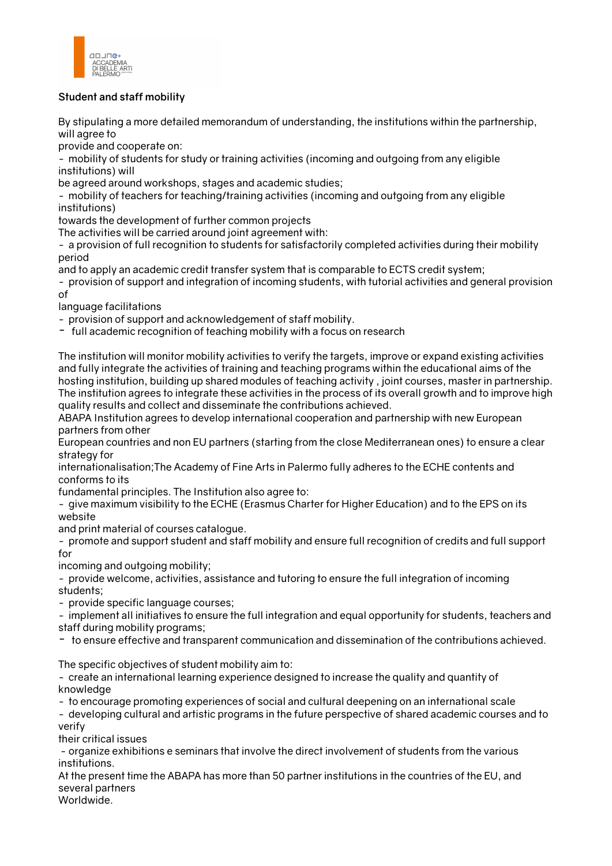

## **Student and staff mobility**

By stipulating a more detailed memorandum of understanding, the institutions within the partnership, will agree to

provide and cooperate on:

- mobility of students for study or training activities (incoming and outgoing from any eligible institutions) will

be agreed around workshops, stages and academic studies;

- mobility of teachers for teaching/training activities (incoming and outgoing from any eligible institutions)

towards the development of further common projects

The activities will be carried around joint agreement with:

- a provision of full recognition to students for satisfactorily completed activities during their mobility period

and to apply an academic credit transfer system that is comparable to ECTS credit system;

- provision of support and integration of incoming students, with tutorial activities and general provision of

language facilitations

- provision of support and acknowledgement of staff mobility.

- full academic recognition of teaching mobility with a focus on research

The institution will monitor mobility activities to verify the targets, improve or expand existing activities and fully integrate the activities of training and teaching programs within the educational aims of the hosting institution, building up shared modules of teaching activity , joint courses, master in partnership. The institution agrees to integrate these activities in the process of its overall growth and to improve high quality results and collect and disseminate the contributions achieved.

ABAPA Institution agrees to develop international cooperation and partnership with new European partners from other

European countries and non EU partners (starting from the close Mediterranean ones) to ensure a clear strategy for

internationalisation;The Academy of Fine Arts in Palermo fully adheres to the ECHE contents and conforms to its

fundamental principles. The Institution also agree to:

- give maximum visibility to the ECHE (Erasmus Charter for Higher Education) and to the EPS on its website

and print material of courses catalogue.

- promote and support student and staff mobility and ensure full recognition of credits and full support for

incoming and outgoing mobility;

- provide welcome, activities, assistance and tutoring to ensure the full integration of incoming students;

- provide specific language courses;

- implement all initiatives to ensure the full integration and equal opportunity for students, teachers and staff during mobility programs;

- to ensure effective and transparent communication and dissemination of the contributions achieved.

The specific objectives of student mobility aim to:

- create an international learning experience designed to increase the quality and quantity of knowledge

- to encourage promoting experiences of social and cultural deepening on an international scale

- developing cultural and artistic programs in the future perspective of shared academic courses and to verify

their critical issues

 - organize exhibitions e seminars that involve the direct involvement of students from the various institutions.

At the present time the ABAPA has more than 50 partner institutions in the countries of the EU, and several partners

Worldwide.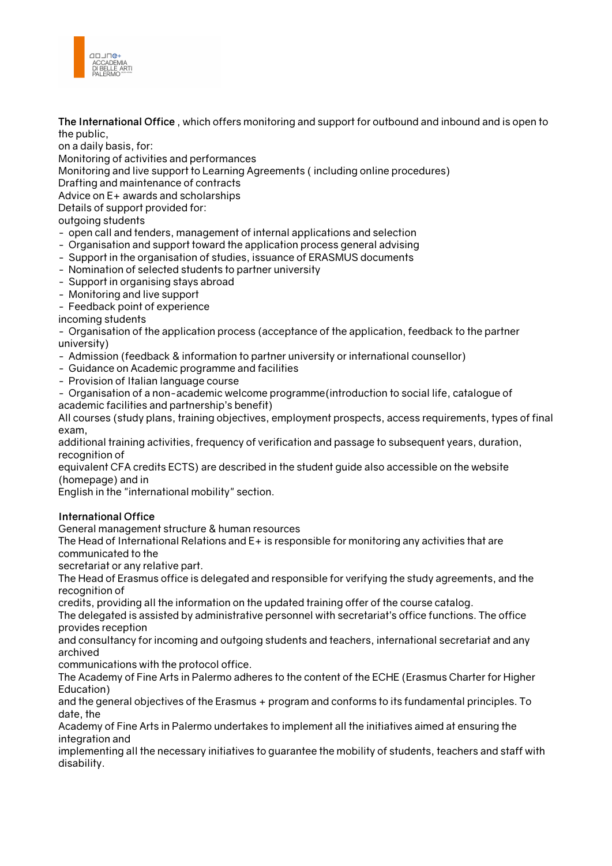

**The International Office** , which offers monitoring and support for outbound and inbound and is open to the public,

on a daily basis, for:

Monitoring of activities and performances

Monitoring and live support to Learning Agreements ( including online procedures)

Drafting and maintenance of contracts

Advice on E+ awards and scholarships

Details of support provided for:

outgoing students

- open call and tenders, management of internal applications and selection
- Organisation and support toward the application process general advising
- Support in the organisation of studies, issuance of ERASMUS documents
- Nomination of selected students to partner university
- Support in organising stays abroad
- Monitoring and live support

- Feedback point of experience

incoming students

- Organisation of the application process (acceptance of the application, feedback to the partner university)

- Admission (feedback & information to partner university or international counsellor)
- Guidance on Academic programme and facilities
- Provision of Italian language course

- Organisation of a non-academic welcome programme(introduction to social life, catalogue of academic facilities and partnership's benefit)

All courses (study plans, training objectives, employment prospects, access requirements, types of final exam,

additional training activities, frequency of verification and passage to subsequent years, duration, recognition of

equivalent CFA credits ECTS) are described in the student guide also accessible on the website (homepage) and in

English in the "international mobility" section.

## **International Office**

General management structure & human resources

The Head of International Relations and E+ is responsible for monitoring any activities that are communicated to the

secretariat or any relative part.

The Head of Erasmus office is delegated and responsible for verifying the study agreements, and the recognition of

credits, providing all the information on the updated training offer of the course catalog.

The delegated is assisted by administrative personnel with secretariat's office functions. The office provides reception

and consultancy for incoming and outgoing students and teachers, international secretariat and any archived

communications with the protocol office.

The Academy of Fine Arts in Palermo adheres to the content of the ECHE (Erasmus Charter for Higher Education)

and the general objectives of the Erasmus + program and conforms to its fundamental principles. To date, the

Academy of Fine Arts in Palermo undertakes to implement all the initiatives aimed at ensuring the integration and

implementing all the necessary initiatives to guarantee the mobility of students, teachers and staff with disability.